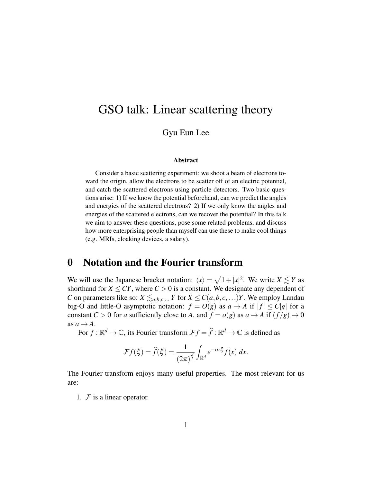# GSO talk: Linear scattering theory

### Gyu Eun Lee

#### Abstract

Consider a basic scattering experiment: we shoot a beam of electrons toward the origin, allow the electrons to be scatter off of an electric potential, and catch the scattered electrons using particle detectors. Two basic questions arise: 1) If we know the potential beforehand, can we predict the angles and energies of the scattered electrons? 2) If we only know the angles and energies of the scattered electrons, can we recover the potential? In this talk we aim to answer these questions, pose some related problems, and discuss how more enterprising people than myself can use these to make cool things (e.g. MRIs, cloaking devices, a salary).

### 0 Notation and the Fourier transform

We will use the Japanese bracket notation:  $\langle x \rangle = \sqrt{1+|x|^2}$ . We write  $X \lesssim Y$  as shorthand for  $X \leq CY$ , where  $C > 0$  is a constant. We designate any dependent of *C* on parameters like so:  $X \le a,b,c,...$  *Y* for  $X \le C(a,b,c,...)Y$ . We employ Landau big-O and little-O asymptotic notation:  $f = O(g)$  as  $a \rightarrow A$  if  $|f| \leq C|g|$  for a constant  $C > 0$  for *a* sufficiently close to *A*, and  $f = o(g)$  as  $a \to A$  if  $(f/g) \to 0$ as  $a \rightarrow A$ .

For  $f : \mathbb{R}^d \to \mathbb{C}$ , its Fourier transform  $\mathcal{F}f = \widehat{f} : \mathbb{R}^d \to \mathbb{C}$  is defined as

$$
\mathcal{F}f(\xi) = \widehat{f}(\xi) = \frac{1}{(2\pi)^{\frac{d}{2}}} \int_{\mathbb{R}^d} e^{-ix\cdot\xi} f(x) \, dx.
$$

The Fourier transform enjoys many useful properties. The most relevant for us are:

1.  $F$  is a linear operator.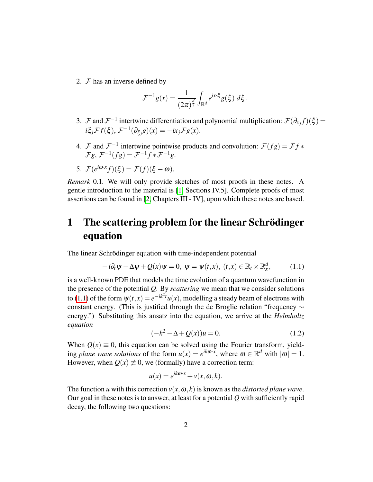2.  $F$  has an inverse defined by

$$
\mathcal{F}^{-1}g(x) = \frac{1}{(2\pi)^{\frac{d}{2}}} \int_{\mathbb{R}^d} e^{ix\cdot\xi} g(\xi) \, d\xi.
$$

- 3. F and  $\mathcal{F}^{-1}$  intertwine differentiation and polynomial multiplication:  $\mathcal{F}(\partial_{x_j}f)(\xi)$  =  $i\xi_j \mathcal{F} f(\xi)$ ,  $\mathcal{F}^{-1}(\partial_{\xi_j} g)(x) = -ix_j \mathcal{F} g(x)$ .
- 4. F and  $\mathcal{F}^{-1}$  intertwine pointwise products and convolution:  $\mathcal{F}(fg) = \mathcal{F}f *$  $\mathcal{F}g, \mathcal{F}^{-1}(fg) = \mathcal{F}^{-1}f * \mathcal{F}^{-1}g.$
- 5.  $\mathcal{F}(e^{i\boldsymbol{\omega}\cdot\boldsymbol{x}}f)(\boldsymbol{\xi}) = \mathcal{F}(f)(\boldsymbol{\xi}-\boldsymbol{\omega}).$

*Remark* 0.1*.* We will only provide sketches of most proofs in these notes. A gentle introduction to the material is [\[1,](#page-11-0) Sections IV.5]. Complete proofs of most assertions can be found in [\[2,](#page-11-1) Chapters III - IV], upon which these notes are based.

## 1 The scattering problem for the linear Schrödinger equation

The linear Schrödinger equation with time-independent potential

<span id="page-1-0"></span>
$$
-i\partial_t \psi - \Delta \psi + Q(x)\psi = 0, \ \psi = \psi(t, x), \ (t, x) \in \mathbb{R}_t \times \mathbb{R}_x^d, \tag{1.1}
$$

is a well-known PDE that models the time evolution of a quantum wavefunction in the presence of the potential *Q*. By *scattering* we mean that we consider solutions to [\(1.1\)](#page-1-0) of the form  $\psi(t,x) = e^{-ik^2t}u(x)$ , modelling a steady beam of electrons with constant energy. (This is justified through the de Broglie relation "frequency ∼ energy.") Substituting this ansatz into the equation, we arrive at the *Helmholtz equation*

<span id="page-1-1"></span>
$$
(-k^2 - \Delta + Q(x))u = 0.
$$
 (1.2)

When  $Q(x) \equiv 0$ , this equation can be solved using the Fourier transform, yielding *plane wave solutions* of the form  $u(x) = e^{ik\omega \cdot x}$ , where  $\omega \in \mathbb{R}^d$  with  $|\omega| = 1$ . However, when  $Q(x) \neq 0$ , we (formally) have a correction term:

$$
u(x) = e^{ik\omega \cdot x} + v(x, \omega, k).
$$

The function *u* with this correction  $v(x, \omega, k)$  is known as the *distorted plane wave*. Our goal in these notes is to answer, at least for a potential *Q* with sufficiently rapid decay, the following two questions: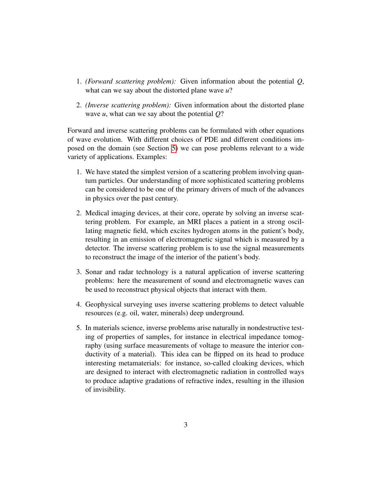- 1. *(Forward scattering problem):* Given information about the potential *Q*, what can we say about the distorted plane wave *u*?
- 2. *(Inverse scattering problem):* Given information about the distorted plane wave *u*, what can we say about the potential *Q*?

Forward and inverse scattering problems can be formulated with other equations of wave evolution. With different choices of PDE and different conditions imposed on the domain (see Section [5\)](#page-9-0) we can pose problems relevant to a wide variety of applications. Examples:

- 1. We have stated the simplest version of a scattering problem involving quantum particles. Our understanding of more sophisticated scattering problems can be considered to be one of the primary drivers of much of the advances in physics over the past century.
- 2. Medical imaging devices, at their core, operate by solving an inverse scattering problem. For example, an MRI places a patient in a strong oscillating magnetic field, which excites hydrogen atoms in the patient's body, resulting in an emission of electromagnetic signal which is measured by a detector. The inverse scattering problem is to use the signal measurements to reconstruct the image of the interior of the patient's body.
- 3. Sonar and radar technology is a natural application of inverse scattering problems: here the measurement of sound and electromagnetic waves can be used to reconstruct physical objects that interact with them.
- 4. Geophysical surveying uses inverse scattering problems to detect valuable resources (e.g. oil, water, minerals) deep underground.
- 5. In materials science, inverse problems arise naturally in nondestructive testing of properties of samples, for instance in electrical impedance tomography (using surface measurements of voltage to measure the interior conductivity of a material). This idea can be flipped on its head to produce interesting metamaterials: for instance, so-called cloaking devices, which are designed to interact with electromagnetic radiation in controlled ways to produce adaptive gradations of refractive index, resulting in the illusion of invisibility.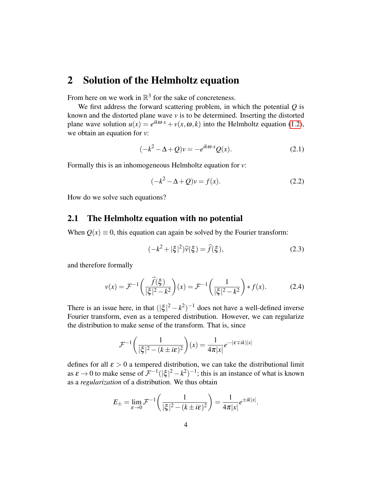## 2 Solution of the Helmholtz equation

From here on we work in  $\mathbb{R}^3$  for the sake of concreteness.

We first address the forward scattering problem, in which the potential *Q* is known and the distorted plane wave *v* is to be determined. Inserting the distorted plane wave solution  $u(x) = e^{ik\omega \cdot x} + v(x, \omega, k)$  into the Helmholtz equation [\(1.2\)](#page-1-1), we obtain an equation for *v*:

$$
(-k2 - \Delta + Q)v = -e^{ik\omega \cdot x}Q(x).
$$
 (2.1)

Formally this is an inhomogeneous Helmholtz equation for *v*:

<span id="page-3-0"></span>
$$
(-k^2 - \Delta + Q)v = f(x).
$$
 (2.2)

How do we solve such equations?

### 2.1 The Helmholtz equation with no potential

When  $Q(x) \equiv 0$ , this equation can again be solved by the Fourier transform:

$$
(-k^2 + |\xi|^2)\widehat{v}(\xi) = \widehat{f}(\xi),\tag{2.3}
$$

and therefore formally

$$
\nu(x) = \mathcal{F}^{-1}\left(\frac{\widehat{f}(\xi)}{|\xi|^2 - k^2}\right)(x) = \mathcal{F}^{-1}\left(\frac{1}{|\xi|^2 - k^2}\right) * f(x).
$$
 (2.4)

There is an issue here, in that  $(|\xi|^2 - k^2)^{-1}$  does not have a well-defined inverse Fourier transform, even as a tempered distribution. However, we can regularize the distribution to make sense of the transform. That is, since

$$
\mathcal{F}^{-1}\left(\frac{1}{|\xi|^2 - (k \pm i\varepsilon)^2}\right)(x) = \frac{1}{4\pi|x|}e^{-(\varepsilon \mp i k)|x|}
$$

defines for all  $\epsilon > 0$  a tempered distribution, we can take the distributional limit as  $\varepsilon \to 0$  to make sense of  $\mathcal{F}^{-1}(|\xi|^2 - k^2)^{-1}$ ; this is an instance of what is known as a *regularization* of a distribution. We thus obtain

$$
E_{\pm} = \lim_{\varepsilon \to 0} \mathcal{F}^{-1}\left(\frac{1}{|\xi|^2 - (k \pm i\varepsilon)^2}\right) = \frac{1}{4\pi |x|} e^{\pm i k |x|}.
$$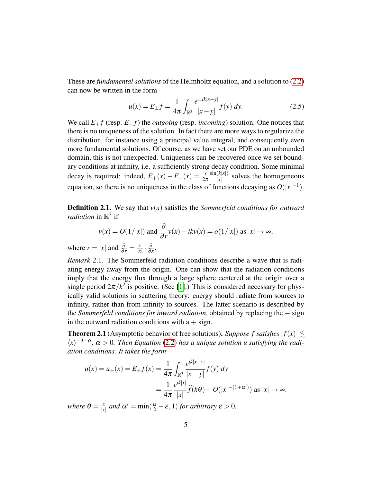These are *fundamental solutions* of the Helmholtz equation, and a solution to [\(2.2\)](#page-3-0) can now be written in the form

$$
u(x) = E_{\pm}f = \frac{1}{4\pi} \int_{\mathbb{R}^3} \frac{e^{\pm ik|x-y|}}{|x-y|} f(y) \, dy. \tag{2.5}
$$

We call *E*<sup>+</sup> *f* (resp. *E*<sup>−</sup> *f*) the *outgoing* (resp. *incoming*) solution. One notices that there is no uniqueness of the solution. In fact there are more ways to regularize the distribution, for instance using a principal value integral, and consequently even more fundamental solutions. Of course, as we have set our PDE on an unbounded domain, this is not unexpected. Uniqueness can be recovered once we set boundary conditions at infinity, i.e. a sufficiently strong decay condition. Some minimal decay is required: indeed,  $E_+(x) - E_-(x) = \frac{i}{2\pi}$  $\sin(k|x|)$  $\frac{K[X]}{X}$  solves the homogeneous equation, so there is no uniqueness in the class of functions decaying as  $O(|x|^{-1})$ .

Definition 2.1. We say that *v*(*x*) satisfies the *Sommerfeld conditions for outward radiation* in  $\mathbb{R}^3$  if

$$
v(x) = O(1/|x|)
$$
 and  $\frac{\partial}{\partial r}v(x) - ikv(x) = o(1/|x|)$  as  $|x| \to \infty$ ,

where  $r = |x|$  and  $\frac{\partial}{\partial r} = \frac{x}{|x|}$  $rac{x}{|x|} \cdot \frac{\partial}{\partial x}$  $\frac{\partial}{\partial x}$ .

*Remark* 2.1*.* The Sommerfeld radiation conditions describe a wave that is radiating energy away from the origin. One can show that the radiation conditions imply that the energy flux through a large sphere centered at the origin over a single period  $2\pi/k^2$  is positive. (See [\[1\]](#page-11-0).) This is considered necessary for physically valid solutions in scattering theory: energy should radiate from sources to infinity, rather than from infinity to sources. The latter scenario is described by the *Sommerfeld conditions for inward radiation*, obtained by replacing the − sign in the outward radiation conditions with  $a + sign$ .

<span id="page-4-0"></span>**Theorem 2.1** (Asymptotic behavior of free solutions). *Suppose f satisfies*  $|f(x)| \le$  $\langle x \rangle^{-3-\alpha}$ ,  $\alpha > 0$ . Then Equation [\(2.2\)](#page-3-0) has a unique solution u satisfying the radi*ation conditions. It takes the form*

$$
u(x) = u_{+}(x) = E_{+}f(x) = \frac{1}{4\pi} \int_{\mathbb{R}^{3}} \frac{e^{ik|x-y|}}{|x-y|} f(y) dy
$$
  
= 
$$
\frac{1}{4\pi} \frac{e^{ik|x|}}{|x|} \widehat{f}(k\theta) + O(|x|^{-(1+\alpha')}) \text{ as } |x| \to \infty,
$$

*where*  $\theta = \frac{x}{|x|}$  $\frac{x}{|x|}$  and  $\alpha' = \min(\frac{\alpha}{2} - \varepsilon, 1)$  *for arbitrary*  $\varepsilon > 0$ *.*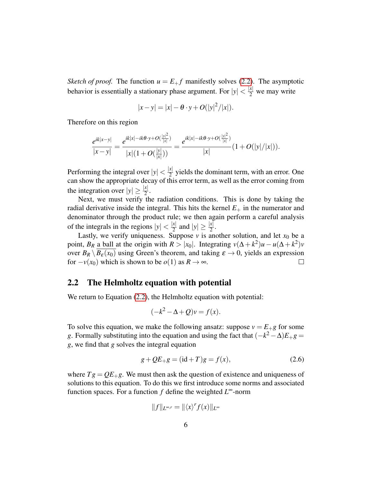*Sketch of proof.* The function  $u = E_{+}f$  manifestly solves [\(2.2\)](#page-3-0). The asymptotic behavior is essentially a stationary phase argument. For  $|y| < \frac{|x|}{2}$  we may write

$$
|x-y| = |x| - \theta \cdot y + O(|y|^2/|x|).
$$

Therefore on this region

$$
\frac{e^{ik|x-y|}}{|x-y|} = \frac{e^{ik|x|-ik\theta\cdot y+O(\frac{|y|^2}{|x|})}}{|x|(1+O(\frac{|y|}{|x|}))} = \frac{e^{ik|x|-ik\theta\cdot y+O(\frac{|y|^2}{|x|})}}{|x|}(1+O(|y|/|x|)).
$$

Performing the integral over  $|y| < \frac{|x|}{2}$  $\frac{x_1}{2}$  yields the dominant term, with an error. One can show the appropriate decay of this error term, as well as the error coming from the integration over  $|y| \ge \frac{|x|}{2}$ .

Next, we must verify the radiation conditions. This is done by taking the radial derivative inside the integral. This hits the kernel  $E_{+}$  in the numerator and denominator through the product rule; we then again perform a careful analysis of the integrals in the regions  $|y| < \frac{|x|}{2}$  $\frac{x}{2}$  and  $|y| \geq \frac{|x|}{2}$ .

Lastly, we verify uniqueness. Suppose  $\nu$  is another solution, and let  $x_0$  be a point, *B<sub>R</sub>* a ball at the origin with  $R > |x_0|$ . Integrating  $v(\Delta + k^2)u - u(\Delta + k^2)v$ over  $B_R \setminus B_\varepsilon(x_0)$  using Green's theorem, and taking  $\varepsilon \to 0$ , yields an expression for  $-v(x_0)$  which is shown to be  $o(1)$  as  $R \to \infty$ .  $\Box$ 

#### 2.2 The Helmholtz equation with potential

We return to Equation [\(2.2\)](#page-3-0), the Helmholtz equation with potential:

$$
(-k^2 - \Delta + Q)v = f(x).
$$

To solve this equation, we make the following ansatz: suppose  $v = E_{+}g$  for some *g*. Formally substituting into the equation and using the fact that  $(-k^2 - \Delta)E_+g =$ *g*, we find that *g* solves the integral equation

$$
g + QE_{+}g = (id + T)g = f(x),
$$
\n(2.6)

where  $Tg = QE_{+}g$ . We must then ask the question of existence and uniqueness of solutions to this equation. To do this we first introduce some norms and associated function spaces. For a function *f* define the weighted *L* <sup>∞</sup>-norm

$$
||f||_{L^{\infty,r}} = ||\langle x \rangle^r f(x)||_{L^{\infty}}
$$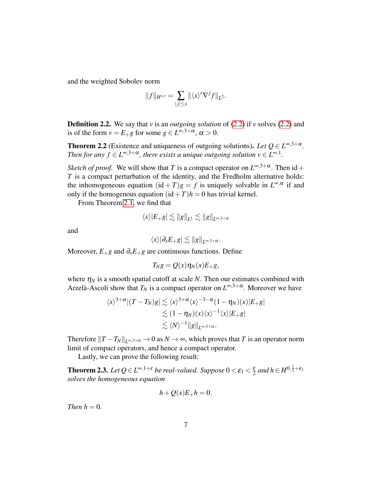and the weighted Sobolev norm

$$
||f||_{H^{s,r}} = \sum_{|j| \leq s} ||\langle x \rangle^r \nabla^j f||_{L^2}.
$$

Definition 2.2. We say that *v* is an *outgoing solution* of [\(2.2\)](#page-3-0) if *v* solves [\(2.2\)](#page-3-0) and is of the form  $v = E_{+}g$  for some  $g \in L^{\infty,3+\alpha}, \alpha > 0$ .

<span id="page-6-0"></span>**Theorem 2.2** (Existence and uniqueness of outgoing solutions). Let  $Q \in L^{\infty,3+\alpha}$ . *Then for any*  $f \in L^{\infty,3+\alpha}$ *, there exists a unique outgoing solution*  $v \in L^{\infty,1}$ .

*Sketch of proof.* We will show that *T* is a compact operator on  $L^{\infty,3+\alpha}$ . Then id + *T* is a compact perturbation of the identity, and the Fredholm alternative holds: the inhomogeneous equation  $(id + T)g = f$  is uniquely solvable in  $L^{\infty,\alpha}$  if and only if the homogenous equation  $(id+T)h = 0$  has trivial kernel.

From Theorem [2.1,](#page-4-0) we find that

$$
\langle x \rangle |E_{+}g| \lesssim \|g\|_{L^1} \lesssim \|g\|_{L^{\infty,3+\alpha}}
$$

and

$$
\langle x \rangle |\partial_x E_+ g| \lesssim \|g\|_{L^{\infty,3+\alpha}}.
$$

Moreover,  $E_{+}g$  and  $\partial_{x}E_{+}g$  are continuous functions. Define

$$
T_N g = Q(x) \eta_N(x) E_{+} g,
$$

where  $\eta_N$  is a smooth spatial cutoff at scale *N*. Then our estimates combined with Arzelà-Ascoli show that  $T_N$  is a compact operator on  $L^{\infty,3+\alpha}$ . Moreover we have

$$
\langle x \rangle^{3+\alpha} |(T-T_N)g| \lesssim \langle x \rangle^{3+\alpha} \langle x \rangle^{-3-\alpha} (1-\eta_N)(x) |E_{+}g|
$$
  

$$
\lesssim (1-\eta_N)(x) \langle x \rangle^{-1} \langle x \rangle |E_{+}g|
$$
  

$$
\lesssim \langle N \rangle^{-1} ||g||_{L^{\infty,3+\alpha}}.
$$

Therefore  $||T - T_N||_{L^{\infty,3+\alpha}} \to 0$  as  $N \to \infty$ , which proves that  $T$  is an operator norm limit of compact operators, and hence a compact operator.

Lastly, we can prove the following result:

**Theorem 2.3.** Let  $Q \in L^{\infty,1+\varepsilon}$  be real-valued. Suppose  $0 < \varepsilon_1 < \frac{\varepsilon}{2}$  $\frac{\varepsilon}{2}$  and  $h \in H^{0, \frac{1}{2} + \varepsilon_1}$ *solves the homogeneous equation*

$$
h + Q(x)E_+h = 0.
$$

*Then*  $h = 0$ *.*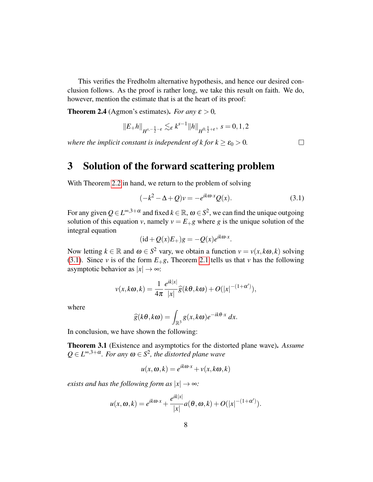This verifies the Fredholm alternative hypothesis, and hence our desired conclusion follows. As the proof is rather long, we take this result on faith. We do, however, mention the estimate that is at the heart of its proof:

<span id="page-7-1"></span>**Theorem 2.4** (Agmon's estimates). *For any*  $\varepsilon > 0$ ,

$$
||E_{+}h||_{H^{s,-\frac{1}{2}-\varepsilon}} \lesssim_{\varepsilon} k^{s-1} ||h||_{H^{0,\frac{1}{2}+\varepsilon}}, \ s=0,1,2
$$

*where the implicit constant is independent of k for*  $k \ge \varepsilon_0 > 0$ *.* 

 $\Box$ 

## 3 Solution of the forward scattering problem

With Theorem [2.2](#page-6-0) in hand, we return to the problem of solving

<span id="page-7-0"></span>
$$
(-k2 - \Delta + Q)v = -e^{ik\omega \cdot x}Q(x).
$$
 (3.1)

.

For any given  $Q \in L^{\infty,3+\alpha}$  and fixed  $k \in \mathbb{R}$ ,  $\omega \in S^2$ , we can find the unique outgoing solution of this equation *v*, namely  $v = E_{+}g$  where *g* is the unique solution of the integral equation

$$
(\mathrm{id} + Q(x)E_+)g = -Q(x)e^{ik\omega \cdot x}
$$

Now letting  $k \in \mathbb{R}$  and  $\omega \in S^2$  vary, we obtain a function  $v = v(x, k\omega, k)$  solving [\(3.1\)](#page-7-0). Since *v* is of the form  $E_{+}g$ , Theorem [2.1](#page-4-0) tells us that *v* has the following asymptotic behavior as  $|x| \to \infty$ :

$$
v(x,k\omega,k) = \frac{1}{4\pi} \frac{e^{ik|x|}}{|x|} \widehat{g}(k\theta,k\omega) + O(|x|^{-(1+\alpha')}),
$$

where

$$
\widehat{g}(k\theta,k\omega)=\int_{\mathbb{R}^3}g(x,k\omega)e^{-ik\theta\cdot x}\,dx.
$$

In conclusion, we have shown the following:

Theorem 3.1 (Existence and asymptotics for the distorted plane wave). *Assume*  $Q \in L^{\infty,3+\alpha}$ *. For any*  $\omega \in S^2$ *, the distorted plane wave* 

$$
u(x, \omega, k) = e^{ik\omega \cdot x} + v(x, k\omega, k)
$$

*exists and has the following form as*  $|x| \rightarrow \infty$ *:* 

$$
u(x, \omega, k) = e^{ik\omega \cdot x} + \frac{e^{ik|x|}}{|x|} a(\theta, \omega, k) + O(|x|^{-(1+\alpha')}).
$$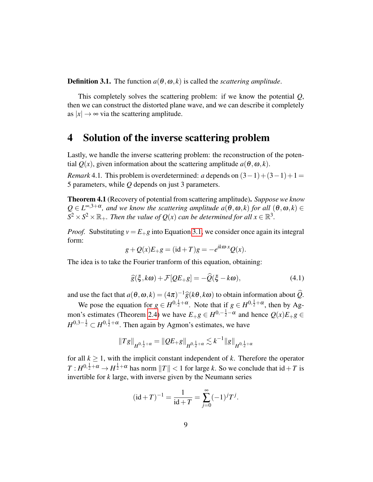**Definition 3.1.** The function  $a(\theta, \omega, k)$  is called the *scattering amplitude*.

This completely solves the scattering problem: if we know the potential *Q*, then we can construct the distorted plane wave, and we can describe it completely as  $|x| \to \infty$  via the scattering amplitude.

### 4 Solution of the inverse scattering problem

Lastly, we handle the inverse scattering problem: the reconstruction of the potential  $Q(x)$ , given information about the scattering amplitude  $a(\theta, \omega, k)$ .

*Remark* 4.1. This problem is overdetermined: *a* depends on  $(3-1)+(3-1)+1=$ 5 parameters, while *Q* depends on just 3 parameters.

Theorem 4.1 (Recovery of potential from scattering amplitude). *Suppose we know*  $Q \in L^{\infty,3+\alpha}$ , and we know the scattering amplitude  $a(\theta,\omega,k)$  for all  $(\theta,\omega,k) \in$  $S^2 \times S^2 \times \mathbb{R}_+$ *. Then the value of*  $Q(x)$  *can be determined for all*  $x \in \mathbb{R}^3$ *.* 

*Proof.* Substituting  $v = E_{+}g$  into Equation [3.1,](#page-7-0) we consider once again its integral form:

$$
g + Q(x)E_{+}g = (\mathrm{id} + T)g = -e^{ik\omega \cdot x}Q(x).
$$

The idea is to take the Fourier tranform of this equation, obtaining:

<span id="page-8-0"></span>
$$
\widehat{g}(\xi, k\omega) + \mathcal{F}[QE_{+}g] = -\widehat{Q}(\xi - k\omega),\tag{4.1}
$$

and use the fact that  $a(\theta, \omega, k) = (4\pi)^{-1} \hat{g}(k\theta, k\omega)$  to obtain information about  $\hat{Q}$ .

We pose the equation for  $g \in H^{0, \frac{1}{2} + \alpha}$ . Note that if  $g \in H^{0, \frac{1}{2} + \alpha}$ , then by Ag-mon's estimates (Theorem [2.4\)](#page-7-1) we have  $E_{+}g \in H^{0,-\frac{1}{2}-\alpha}$  and hence  $Q(x)E_{+}g \in$  $H^{0,3-\frac{1}{2}} \subset H^{0,\frac{1}{2}+\alpha}$ . Then again by Agmon's estimates, we have

$$
||Tg||_{H^{0,\frac{1}{2}+\alpha}}=||QE_{+}g||_{H^{0,\frac{1}{2}+\alpha}}\lesssim k^{-1}||g||_{H^{0,\frac{1}{2}+\alpha}}
$$

for all  $k > 1$ , with the implicit constant independent of  $k$ . Therefore the operator  $T: H^{0, \frac{1}{2} + \alpha} \to H^{\frac{1}{2} + \alpha}$  has norm  $||T|| < 1$  for large *k*. So we conclude that  $id + T$  is invertible for *k* large, with inverse given by the Neumann series

$$
(\mathrm{id} + T)^{-1} = \frac{1}{\mathrm{id} + T} = \sum_{j=0}^{\infty} (-1)^j T^j.
$$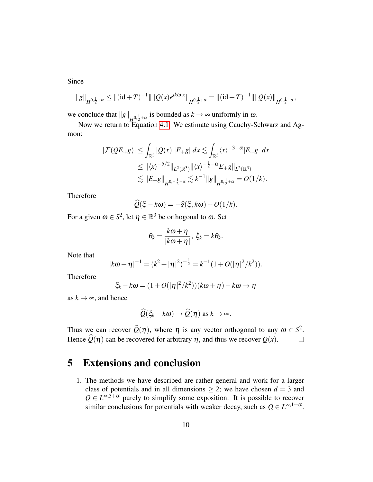Since

$$
||g||_{H^{0,\frac{1}{2}+\alpha}} \leq ||(\mathrm{id}+T)^{-1}|| ||Q(x)e^{ik\omega \cdot x}||_{H^{0,\frac{1}{2}+\alpha}} = ||(\mathrm{id}+T)^{-1}|| ||Q(x)||_{H^{0,\frac{1}{2}+\alpha}},
$$

we conclude that  $||g||_{H_0^0, \frac{1}{2}+\alpha}$  is bounded as  $k \to \infty$  uniformly in  $\omega$ .

Now we return to Equation [4.1.](#page-8-0) We estimate using Cauchy-Schwarz and Agmon:

$$
|\mathcal{F}(QE_{+}g)| \leq \int_{\mathbb{R}^{3}} |Q(x)||E_{+}g| dx \lesssim \int_{\mathbb{R}^{3}} \langle x \rangle^{-3-\alpha} |E_{+}g| dx
$$
  
\n
$$
\leq ||\langle x \rangle^{-5/2}||_{L^{2}(\mathbb{R}^{3})} ||\langle x \rangle^{-\frac{1}{2}-\alpha} E_{+}g||_{L^{2}(\mathbb{R}^{3})}
$$
  
\n
$$
\lesssim ||E_{+}g||_{H^{0,-\frac{1}{2}-\alpha}} \lesssim k^{-1} ||g||_{H^{0,\frac{1}{2}+\alpha}} = O(1/k).
$$

Therefore

$$
\widehat{Q}(\xi - k\omega) = -\widehat{g}(\xi, k\omega) + O(1/k).
$$

For a given  $\omega \in S^2$ , let  $\eta \in \mathbb{R}^3$  be orthogonal to  $\omega$ . Set

$$
\theta_k=\frac{k\omega+\eta}{|k\omega+\eta|},\ \xi_k=k\theta_k.
$$

Note that

$$
|k\omega + \eta|^{-1} = (k^2 + |\eta|^2)^{-\frac{1}{2}} = k^{-1}(1 + O(|\eta|^2/k^2)).
$$

Therefore

$$
\xi_k - k\omega = (1 + O(|\eta|^2/k^2))(k\omega + \eta) - k\omega \to \eta
$$

as  $k \rightarrow \infty$ , and hence

$$
\widehat{Q}(\xi_k - k\omega) \to \widehat{Q}(\eta) \text{ as } k \to \infty.
$$

Thus we can recover  $\widehat{Q}(\eta)$ , where  $\eta$  is any vector orthogonal to any  $\omega \in S^2$ . Hence  $\widehat{Q}(\eta)$  can be recovered for arbitrary  $\eta$ , and thus we recover  $Q(x)$ .

## <span id="page-9-0"></span>5 Extensions and conclusion

1. The methods we have described are rather general and work for a larger class of potentials and in all dimensions  $\geq$  2; we have chosen  $d = 3$  and  $Q \in L^{\infty,3+\alpha}$  purely to simplify some exposition. It is possible to recover similar conclusions for potentials with weaker decay, such as  $Q \in L^{\infty,1+\alpha}$ .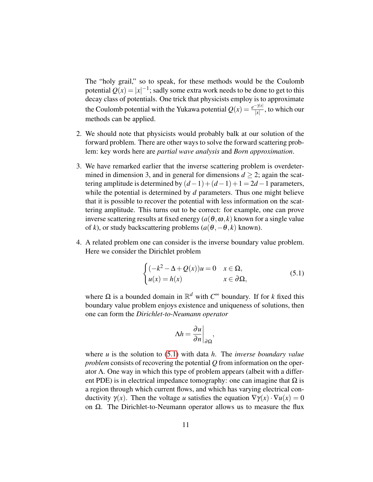The "holy grail," so to speak, for these methods would be the Coulomb potential  $Q(x) = |x|^{-1}$ ; sadly some extra work needs to be done to get to this decay class of potentials. One trick that physicists employ is to approximate the Coulomb potential with the Yukawa potential  $Q(x) = \frac{e^{-\gamma|x|}}{|x|}$  $\frac{1}{|x|}$ , to which our methods can be applied.

- 2. We should note that physicists would probably balk at our solution of the forward problem. There are other ways to solve the forward scattering problem: key words here are *partial wave analysis* and *Born approximation*.
- 3. We have remarked earlier that the inverse scattering problem is overdetermined in dimension 3, and in general for dimensions  $d \geq 2$ ; again the scattering amplitude is determined by  $(d-1)+(d-1)+1 = 2d-1$  parameters, while the potential is determined by *d* parameters. Thus one might believe that it is possible to recover the potential with less information on the scattering amplitude. This turns out to be correct: for example, one can prove inverse scattering results at fixed energy  $(a(\theta, \omega, k)$  known for a single value of *k*), or study backscattering problems  $(a(\theta, -\theta, k)$  known).
- 4. A related problem one can consider is the inverse boundary value problem. Here we consider the Dirichlet problem

<span id="page-10-0"></span>
$$
\begin{cases}\n(-k^2 - \Delta + Q(x))u = 0 & x \in \Omega, \\
u(x) = h(x) & x \in \partial\Omega,\n\end{cases}
$$
\n(5.1)

where  $\Omega$  is a bounded domain in  $\mathbb{R}^d$  with  $C^{\infty}$  boundary. If for *k* fixed this boundary value problem enjoys existence and uniqueness of solutions, then one can form the *Dirichlet-to-Neumann operator*

$$
\Delta h = \frac{\partial u}{\partial n}\bigg|_{\partial \Omega},
$$

where *u* is the solution to [\(5.1\)](#page-10-0) with data *h*. The *inverse boundary value problem* consists of recovering the potential *Q* from information on the operator Λ. One way in which this type of problem appears (albeit with a different PDE) is in electrical impedance tomography: one can imagine that  $\Omega$  is a region through which current flows, and which has varying electrical conductivity  $\gamma(x)$ . Then the voltage *u* satisfies the equation  $\nabla \gamma(x) \cdot \nabla u(x) = 0$ on  $\Omega$ . The Dirichlet-to-Neumann operator allows us to measure the flux